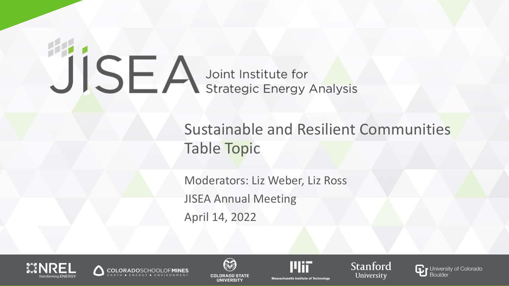# JISEA Joint Institute for

### Sustainable and Resilient Communities Table Topic

Moderators: Liz Weber, Liz Ross JISEA Annual Meeting April 14, 2022











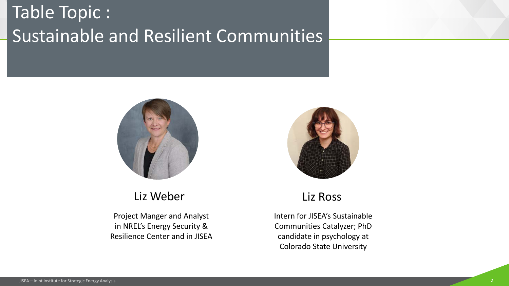## Table Topic : Sustainable and Resilient Communities





#### Liz Weber

Project Manger and Analyst in NREL's Energy Security & Resilience Center and in JISEA

#### Liz Ross

Intern for JISEA's Sustainable Communities Catalyzer; PhD candidate in psychology at Colorado State University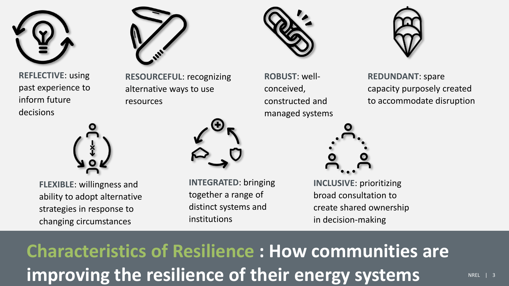

**REFLECTIVE**: using past experience to inform future decisions



**FLEXIBLE**: willingness and ability to adopt alternative strategies in response to changing circumstances



**RESOURCEFUL**: recognizing alternative ways to use resources



**INTEGRATED**: bringing together a range of distinct systems and institutions



**ROBUST**: wellconceived, constructed and managed systems



**REDUNDANT**: spare capacity purposely created to accommodate disruption



**INCLUSIVE**: prioritizing broad consultation to create shared ownership in decision-making

improving the resilience of their energy systems **NAREL AN** REE I 3 **Characteristics of Resilience : How communities are**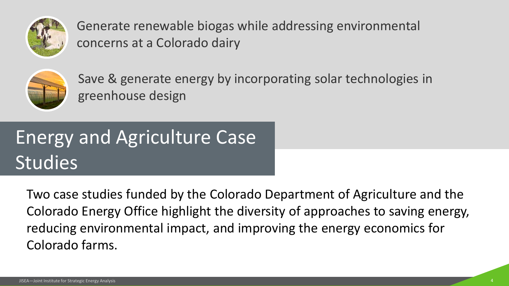

Generate renewable biogas while addressing environmental concerns at a Colorado dairy



Save & generate energy by incorporating solar technologies in greenhouse design

# Energy and Agriculture Case **Studies**

Two case studies funded by the Colorado Department of Agriculture and the Colorado Energy Office highlight the diversity of approaches to saving energy, reducing environmental impact, and improving the energy economics for Colorado farms.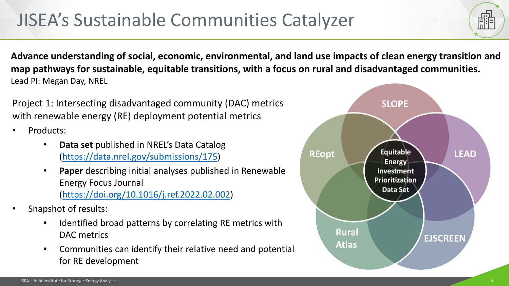## JISEA's Sustainable Communities Catalyzer

**Advance understanding of social, economic, environmental, and land use impacts of clean energy transition and map pathways for sustainable, equitable transitions, with a focus on rural and disadvantaged communities.**  Lead PI: Megan Day, NREL

Project 1: Intersecting disadvantaged community (DAC) metrics with renewable energy (RE) deployment potential metrics

- Products:
	- **Data set** published in NREL's Data Catalog [\(https://data.nrel.gov/submissions/175\)](https://data.nrel.gov/submissions/175)
	- **Paper** describing initial analyses published in Renewable Energy Focus Journal [\(https://doi.org/10.1016/j.ref.2022.02.002\)](https://doi.org/10.1016/j.ref.2022.02.002)
- Snapshot of results:
	- Identified broad patterns by correlating RE metrics with DAC metrics
	- Communities can identify their relative need and potential for RE development

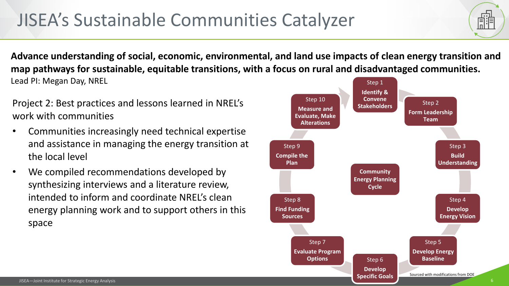## JISEA's Sustainable Communities Catalyzer

Step 1 **Advance understanding of social, economic, environmental, and land use impacts of clean energy transition and map pathways for sustainable, equitable transitions, with a focus on rural and disadvantaged communities.**  Lead PI: Megan Day, NREL

Project 2: Best practices and lessons learned in NREL's work with communities

- Communities increasingly need technical expertise and assistance in managing the energy transition at the local level
- We compiled recommendations developed by synthesizing interviews and a literature review, intended to inform and coordinate NREL's clean energy planning work and to support others in this space